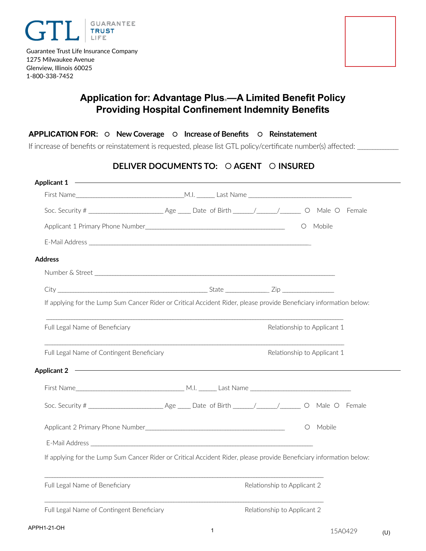

Glenview, Illinois 60025 1-800-338-7452



# **Application for: Advantage Plus**®**—A Limited Benefit Policy Providing Hospital Confinement Indemnity Benefits**

### **APPLICATION FOR: New Coverage Increase of Benefits Reinstatement**

If increase of benefits or reinstatement is requested, please list GTL policy/certificate number(s) affected: \_\_\_\_\_\_\_\_\_\_\_\_\_\_\_\_\_\_\_\_\_\_\_\_\_

### **DELIVER DOCUMENTS TO: AGENT INSURED**

| Applicant 1                                                                                                                                 |  |                             |                             |  |
|---------------------------------------------------------------------------------------------------------------------------------------------|--|-----------------------------|-----------------------------|--|
|                                                                                                                                             |  |                             |                             |  |
|                                                                                                                                             |  |                             |                             |  |
|                                                                                                                                             |  |                             | O Mobile                    |  |
|                                                                                                                                             |  |                             |                             |  |
| <b>Address</b>                                                                                                                              |  |                             |                             |  |
|                                                                                                                                             |  |                             |                             |  |
|                                                                                                                                             |  |                             |                             |  |
| If applying for the Lump Sum Cancer Rider or Critical Accident Rider, please provide Beneficiary information below:                         |  |                             |                             |  |
| Full Legal Name of Beneficiary                                                                                                              |  |                             | Relationship to Applicant 1 |  |
| Full Legal Name of Contingent Beneficiary                                                                                                   |  |                             | Relationship to Applicant 1 |  |
| <u> 1989 - Johann Stoff, deutscher Stoff, der Stoff, der Stoff, der Stoff, der Stoff, der Stoff, der Stoff, der S</u><br><b>Applicant 2</b> |  |                             |                             |  |
|                                                                                                                                             |  |                             |                             |  |
|                                                                                                                                             |  |                             |                             |  |
|                                                                                                                                             |  |                             | O Mobile                    |  |
|                                                                                                                                             |  |                             |                             |  |
| If applying for the Lump Sum Cancer Rider or Critical Accident Rider, please provide Beneficiary information below:                         |  |                             |                             |  |
| Full Legal Name of Beneficiary                                                                                                              |  | Relationship to Applicant 2 |                             |  |
| Full Legal Name of Contingent Beneficiary                                                                                                   |  | Relationship to Applicant 2 |                             |  |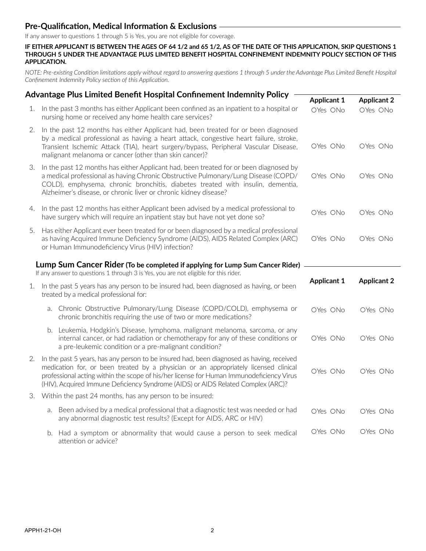### **Pre-Qualification, Medical Information & Exclusions**

If any answer to questions 1 through 5 is Yes, you are not eligible for coverage.

**IF EITHER APPLICANT IS BETWEEN THE AGES OF 64 1/2 and 65 1/2, AS OF THE DATE OF THIS APPLICATION, SKIP QUESTIONS 1 THROUGH 5 UNDER THE ADVANTAGE PLUS LIMITED BENEFIT HOSPITAL CONFINEMENT INDEMNITY POLICY SECTION OF THIS APPLICATION.**

*NOTE: Pre-existing Condition limitations apply without regard to answering questions 1 through 5 under the Advantage Plus Limited Benefit Hospital Confinement Indemnity Policy section of this Application.*

|    | Advantage Plus Limited Benefit Hospital Confinement Indemnity Policy                                                                                                                                                                                                                                                                                              |                    |                    |
|----|-------------------------------------------------------------------------------------------------------------------------------------------------------------------------------------------------------------------------------------------------------------------------------------------------------------------------------------------------------------------|--------------------|--------------------|
|    |                                                                                                                                                                                                                                                                                                                                                                   | <b>Applicant 1</b> | <b>Applicant 2</b> |
|    | 1. In the past 3 months has either Applicant been confined as an inpatient to a hospital or<br>nursing home or received any home health care services?                                                                                                                                                                                                            | OYes ONo           | OYes ONo           |
| 2. | In the past 12 months has either Applicant had, been treated for or been diagnosed<br>by a medical professional as having a heart attack, congestive heart failure, stroke,<br>Transient Ischemic Attack (TIA), heart surgery/bypass, Peripheral Vascular Disease,<br>malignant melanoma or cancer (other than skin cancer)?                                      | OYes ONo           | OYes ONo           |
| 3. | In the past 12 months has either Applicant had, been treated for or been diagnosed by<br>a medical professional as having Chronic Obstructive Pulmonary/Lung Disease (COPD/<br>COLD), emphysema, chronic bronchitis, diabetes treated with insulin, dementia,<br>Alzheimer's disease, or chronic liver or chronic kidney disease?                                 | OYes ONo           | OYes ONo           |
| 4. | In the past 12 months has either Applicant been advised by a medical professional to<br>have surgery which will require an inpatient stay but have not yet done so?                                                                                                                                                                                               | OYes ONo           | OYes ONo           |
| 5. | Has either Applicant ever been treated for or been diagnosed by a medical professional<br>as having Acquired Immune Deficiency Syndrome (AIDS), AIDS Related Complex (ARC)<br>or Human Immunodeficiency Virus (HIV) infection?                                                                                                                                    | OYes ONo           | OYes ONo           |
|    | Lump Sum Cancer Rider (To be completed if applying for Lump Sum Cancer Rider)<br>If any answer to questions 1 through 3 is Yes, you are not eligible for this rider.                                                                                                                                                                                              |                    |                    |
|    | 1. In the past 5 years has any person to be insured had, been diagnosed as having, or been<br>treated by a medical professional for:                                                                                                                                                                                                                              | <b>Applicant 1</b> | <b>Applicant 2</b> |
|    | a. Chronic Obstructive Pulmonary/Lung Disease (COPD/COLD), emphysema or<br>chronic bronchitis requiring the use of two or more medications?                                                                                                                                                                                                                       | OYes ONo           | OYes ONo           |
|    | Leukemia, Hodgkin's Disease, lymphoma, malignant melanoma, sarcoma, or any<br>b.<br>internal cancer, or had radiation or chemotherapy for any of these conditions or<br>a pre-leukemic condition or a pre-malignant condition?                                                                                                                                    | OYes ONo           | OYes ONo           |
| 2. | In the past 5 years, has any person to be insured had, been diagnosed as having, received<br>medication for, or been treated by a physician or an appropriately licensed clinical<br>professional acting within the scope of his/her license for Human Immunodeficiency Virus<br>(HIV), Acquired Immune Deficiency Syndrome (AIDS) or AIDS Related Complex (ARC)? | OYes ONo           | OYes ONo           |
| 3. | Within the past 24 months, has any person to be insured:                                                                                                                                                                                                                                                                                                          |                    |                    |
|    | Been advised by a medical professional that a diagnostic test was needed or had<br>a.<br>any abnormal diagnostic test results? (Except for AIDS, ARC or HIV)                                                                                                                                                                                                      | OYes ONo           | OYes ONo           |
|    | b. Had a symptom or abnormality that would cause a person to seek medical<br>attention or advice?                                                                                                                                                                                                                                                                 | OYes ONo           | OYes ONo           |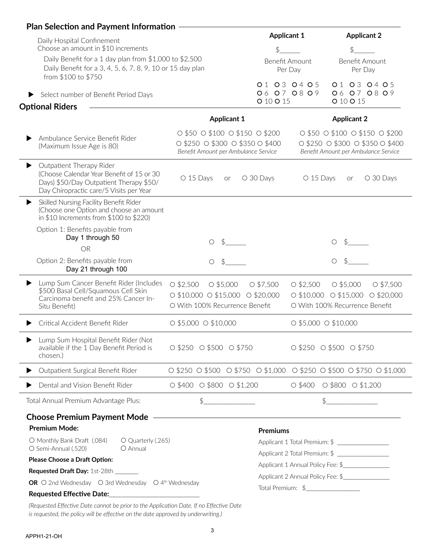| <b>Plan Selection and Payment Information</b><br>Daily Hospital Confinement                                                                                      |                                                                                                                                                           | <b>Applicant 1</b>                              | <b>Applicant 2</b>                                                                                                                        |
|------------------------------------------------------------------------------------------------------------------------------------------------------------------|-----------------------------------------------------------------------------------------------------------------------------------------------------------|-------------------------------------------------|-------------------------------------------------------------------------------------------------------------------------------------------|
| Choose an amount in \$10 increments                                                                                                                              |                                                                                                                                                           |                                                 |                                                                                                                                           |
| Daily Benefit for a 1 day plan from \$1,000 to \$2,500<br>Daily Benefit for a 3, 4, 5, 6, 7, 8, 9, 10 or 15 day plan<br>from \$100 to \$750                      |                                                                                                                                                           | <b>Benefit Amount</b><br>Per Day<br>01 03 04 05 | <b>Benefit Amount</b><br>Per Day<br>01 03 04 05                                                                                           |
| Select number of Benefit Period Days                                                                                                                             | O 10 O 15                                                                                                                                                 | 06 07 08 09                                     | 06 07 08 09<br>O 10 O 15                                                                                                                  |
| <b>Optional Riders</b>                                                                                                                                           |                                                                                                                                                           |                                                 |                                                                                                                                           |
|                                                                                                                                                                  | <b>Applicant 1</b>                                                                                                                                        |                                                 | <b>Applicant 2</b>                                                                                                                        |
| Ambulance Service Benefit Rider<br>(Maximum Issue Age is 80)                                                                                                     | $\circ$ \$50 $\circ$ \$100 $\circ$ \$150 $\circ$ \$200<br>$\circ$ \$250 $\circ$ \$300 $\circ$ \$350 $\circ$ \$400<br>Benefit Amount per Ambulance Service |                                                 | $0$ \$50 $0$ \$100 $0$ \$150 $0$ \$200<br>$\circ$ \$250 $\circ$ \$300 $\circ$ \$350 $\circ$ \$400<br>Benefit Amount per Ambulance Service |
| Outpatient Therapy Rider<br>▶<br>(Choose Calendar Year Benefit of 15 or 30<br>Days) \$50/Day Outpatient Therapy \$50/<br>Day Chiropractic care/5 Visits per Year | O 15 Days<br>O 30 Days<br><b>or</b>                                                                                                                       | O 15 Days                                       | O 30 Days<br>or                                                                                                                           |
| Skilled Nursing Facility Benefit Rider<br>(Choose one Option and choose an amount<br>in \$10 Increments from $$100$ to \$220)                                    |                                                                                                                                                           |                                                 |                                                                                                                                           |
| Option 1: Benefits payable from<br>Day 1 through 50<br><b>OR</b>                                                                                                 | O                                                                                                                                                         |                                                 | O                                                                                                                                         |
| Option 2: Benefits payable from<br>Day 21 through 100                                                                                                            | $\bigcirc$                                                                                                                                                |                                                 | ◯                                                                                                                                         |
| Lump Sum Cancer Benefit Rider (Includes<br>\$500 Basal Cell/Squamous Cell Skin<br>Carcinoma benefit and 25% Cancer In-<br>Situ Benefit)                          | $O$ \$2,500<br>$O$ \$5,000<br>$O$ \$7,500<br>$\circ$ \$10,000 $\circ$ \$15,000 $\circ$ \$20,000<br>O With 100% Recurrence Benefit                         | $O$ \$2,500                                     | $O$ \$5,000<br>O \$7,500<br>$\circ$ \$10,000 $\circ$ \$15,000<br>$O$ \$20,000<br>O With 100% Recurrence Benefit                           |
| Critical Accident Benefit Rider                                                                                                                                  | O \$5,000 O \$10,000                                                                                                                                      | O \$5,000 O \$10,000                            |                                                                                                                                           |
| Lump Sum Hospital Benefit Rider (Not<br>available if the 1 Day Benefit Period is<br>chosen.)                                                                     | $\circ$ \$250 $\circ$ \$500 $\circ$ \$750                                                                                                                 |                                                 | $\circ$ \$250 $\circ$ \$500 $\circ$ \$750                                                                                                 |
| Outpatient Surgical Benefit Rider                                                                                                                                | $\circ$ \$250 $\circ$ \$500 $\circ$ \$750 $\circ$ \$1,000 $\circ$ \$250 $\circ$ \$500 $\circ$ \$750 $\circ$ \$1,000                                       |                                                 |                                                                                                                                           |
| Dental and Vision Benefit Rider                                                                                                                                  | $0$ \$400 $0$ \$800 $0$ \$1,200                                                                                                                           |                                                 | $\circ$ \$400 $\circ$ \$800 $\circ$ \$1,200                                                                                               |
| Total Annual Premium Advantage Plus:                                                                                                                             | $\frac{1}{2}$                                                                                                                                             |                                                 | $\frac{4}{5}$                                                                                                                             |
| <b>Choose Premium Payment Mode -</b>                                                                                                                             |                                                                                                                                                           |                                                 |                                                                                                                                           |
| <b>Premium Mode:</b>                                                                                                                                             | <b>Premiums</b>                                                                                                                                           |                                                 |                                                                                                                                           |
| O Monthly Bank Draft (.084)<br>O Quarterly (.265)<br>O Semi-Annual (.520)<br>O Annual                                                                            |                                                                                                                                                           |                                                 | Applicant 1 Total Premium: \$ _________________                                                                                           |
|                                                                                                                                                                  |                                                                                                                                                           |                                                 | Applicant 1 Annual Policy Fee: \$                                                                                                         |
| Please Choose a Draft Option:                                                                                                                                    |                                                                                                                                                           |                                                 |                                                                                                                                           |
| Requested Draft Day: 1st-28th ______                                                                                                                             |                                                                                                                                                           |                                                 |                                                                                                                                           |
| OR O 2nd Wednesday O 3rd Wednesday O 4 <sup>th</sup> Wednesday                                                                                                   |                                                                                                                                                           | Total Premium: \$                               | Applicant 2 Annual Policy Fee: \$                                                                                                         |

*(Requested Effective Date cannot be prior to the Application Date. If no Effective Date is requested, the policy will be effective on the date approved by underwriting.)*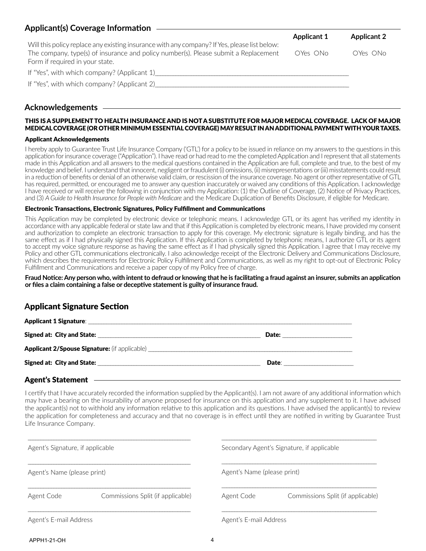| Applicant(s) Coverage Information                                                                                      |                    |                    |
|------------------------------------------------------------------------------------------------------------------------|--------------------|--------------------|
|                                                                                                                        | <b>Applicant 1</b> | <b>Applicant 2</b> |
| Will this policy replace any existing insurance with any company? If Yes, please list below:                           |                    |                    |
| The company, type(s) of insurance and policy number(s). Please submit a Replacement<br>Form if required in your state. | OYes ONo           | OYes ONo           |
| If "Yes", with which company? (Applicant 1)                                                                            |                    |                    |
| If "Yes", with which company? (Applicant 2)                                                                            |                    |                    |
|                                                                                                                        |                    |                    |

### **Acknowledgements**

### THIS IS A SUPPLEMENT TO HEALTH INSURANCE AND IS NOT A SUBSTITUTE FOR MAJOR MEDICAL COVERAGE. LACK OF MAJOR MEDICAL COVERAGE (OR OTHER MINIMUM ESSENTIAL COVERAGE) MAY RESULT IN AN ADDITIONAL PAYMENT WITH YOUR TAXES.

#### Applicant Acknowledgements

I hereby apply to Guarantee Trust Life Insurance Company ('GTL') for a policy to be issued in reliance on my answers to the questions in this application for insurance coverage ("Application"). I have read or had read to me the completed Application and I represent that all statements made in this Application and all answers to the medical questions contained in the Application are full, complete and true, to the best of my knowledge and belief. I understand that innocent, negligent or fraudulent (i) omissions, (ii) misrepresentations or (iii) misstatements could result in a reduction of benefits or denial of an otherwise valid claim, or rescission of the insurance coverage. No agent or other representative of GTL has required, permitted, or encouraged me to answer any question inaccurately or waived any conditions of this Application. I acknowledge I have received or will receive the following in conjunction with my Application: (1) the Outline of Coverage, (2) Notice of Privacy Practices, and (3) *A Guide to Health Insurance for People with Medicare* and the Medicare Duplication of Benefits Disclosure, if eligible for Medicare.

#### Electronic Transactions, Electronic Signatures, Policy Fulfillment and Communications

This Application may be completed by electronic device or telephonic means. I acknowledge GTL or its agent has verified my identity in accordance with any applicable federal or state law and that if this Application is completed by electronic means, I have provided my consent and authorization to complete an electronic transaction to apply for this coverage. My electronic signature is legally binding, and has the same effect as if I had physically signed this Application. If this Application is completed by telephonic means, I authorize GTL or its agent to accept my voice signature response as having the same effect as if I had physically signed this Application. I agree that I may receive my Policy and other GTL communications electronically. I also acknowledge receipt of the Electronic Delivery and Communications Disclosure, which describes the requirements for Electronic Policy Fulfillment and Communications, as well as my right to opt-out of Electronic Policy Fulfillment and Communications and receive a paper copy of my Policy free of charge.

**Fraud Notice: Any person who, with intent to defraud or knowing that he is facilitating a fraud against an insurer, submits an application or files a claim containing a false or deceptive statement is guilty of insurance fraud.**

### **A**pplicant Signature Section

| <b>Applicant 1 Signature:</b>                                                    |              |  |
|----------------------------------------------------------------------------------|--------------|--|
| Signed at: City and State:                                                       | <b>Date:</b> |  |
| Applicant 2/Spouse Signature: (if applicable) __________________________________ |              |  |
| Signed at: City and State:                                                       | Date:        |  |
|                                                                                  |              |  |

#### Agent's Statement

I certify that I have accurately recorded the information supplied by the Applicant(s). I am not aware of any additional information which may have a bearing on the insurability of anyone proposed for insurance on this application and any supplement to it. I have advised the applicant(s) not to withhold any information relative to this application and its questions. I have advised the applicant(s) to review the application for completeness and accuracy and that no coverage is in effect until they are notified in writing by Guarantee Trust Life Insurance Company.

| Agent's Signature, if applicable |                                   | Secondary Agent's Signature, if applicable |                                   |  |
|----------------------------------|-----------------------------------|--------------------------------------------|-----------------------------------|--|
| Agent's Name (please print)      |                                   | Agent's Name (please print)                |                                   |  |
| Agent Code                       | Commissions Split (if applicable) | Agent Code                                 | Commissions Split (if applicable) |  |
| Agent's E-mail Address           |                                   | Agent's E-mail Address                     |                                   |  |